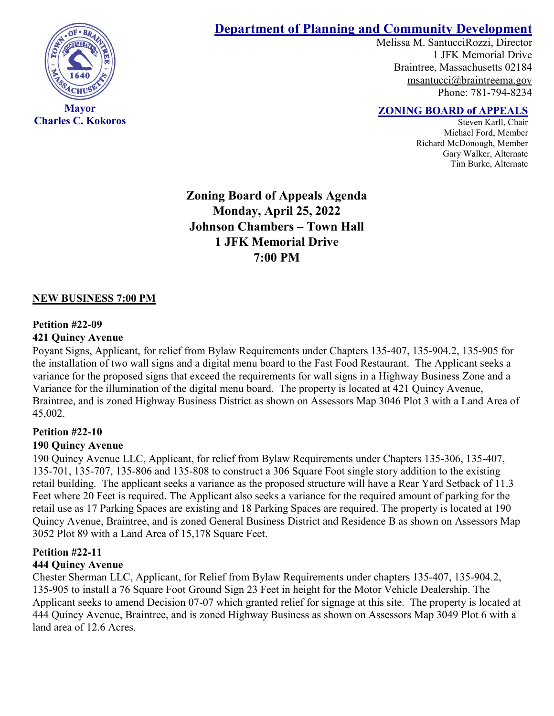

**Charles C. Kokoros**

# **Department of Planning and Community Development**

Melissa M. SantucciRozzi, Director 1 JFK Memorial Drive Braintree, Massachusetts 02184 [msantucci@braintreema.gov](mailto:msantucci@braintreema.gov) Phone: 781-794-8234

## **ZONING BOARD of APPEALS**

Steven Karll, Chair Michael Ford, Member Richard McDonough, Member Gary Walker, Alternate Tim Burke, Alternate

**Zoning Board of Appeals Agenda Monday, April 25, 2022 Johnson Chambers – Town Hall 1 JFK Memorial Drive 7:00 PM**

#### **NEW BUSINESS 7:00 PM**

#### **Petition #22-09**

#### **421 Quincy Avenue**

Poyant Signs, Applicant, for relief from Bylaw Requirements under Chapters 135-407, 135-904.2, 135-905 for the installation of two wall signs and a digital menu board to the Fast Food Restaurant. The Applicant seeks a variance for the proposed signs that exceed the requirements for wall signs in a Highway Business Zone and a Variance for the illumination of the digital menu board. The property is located at 421 Quincy Avenue, Braintree, and is zoned Highway Business District as shown on Assessors Map 3046 Plot 3 with a Land Area of 45,002.

## **Petition #22-10**

### **190 Quincy Avenue**

190 Quincy Avenue LLC, Applicant, for relief from Bylaw Requirements under Chapters 135-306, 135-407, 135-701, 135-707, 135-806 and 135-808 to construct a 306 Square Foot single story addition to the existing retail building. The applicant seeks a variance as the proposed structure will have a Rear Yard Setback of 11.3 Feet where 20 Feet is required. The Applicant also seeks a variance for the required amount of parking for the retail use as 17 Parking Spaces are existing and 18 Parking Spaces are required. The property is located at 190 Quincy Avenue, Braintree, and is zoned General Business District and Residence B as shown on Assessors Map 3052 Plot 89 with a Land Area of 15,178 Square Feet.

### **Petition #22-11**

### **444 Quincy Avenue**

Chester Sherman LLC, Applicant, for Relief from Bylaw Requirements under chapters 135-407, 135-904.2, 135-905 to install a 76 Square Foot Ground Sign 23 Feet in height for the Motor Vehicle Dealership. The Applicant seeks to amend Decision 07-07 which granted relief for signage at this site. The property is located at 444 Quincy Avenue, Braintree, and is zoned Highway Business as shown on Assessors Map 3049 Plot 6 with a land area of 12.6 Acres.